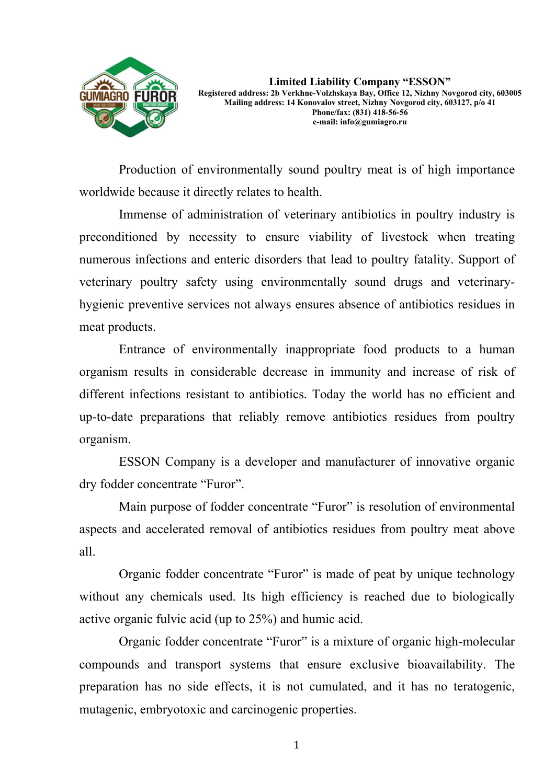

**Limited Liability Company "ESSON" Registered address: 2b Verkhne-Volzhskaya Bay, Office 12, Nizhny Novgorod city, 603005 Mailing address: 14 Konovalov street, Nizhny Novgorod city, 603127, p/o 41 Phone/fax: (831) 418-56-56 e-mail: info@gumiagro.ru** 

Production of environmentally sound poultry meat is of high importance worldwide because it directly relates to health.

Immense of administration of veterinary antibiotics in poultry industry is preconditioned by necessity to ensure viability of livestock when treating numerous infections and enteric disorders that lead to poultry fatality. Support of veterinary poultry safety using environmentally sound drugs and veterinaryhygienic preventive services not always ensures absence of antibiotics residues in meat products.

Entrance of environmentally inappropriate food products to a human organism results in considerable decrease in immunity and increase of risk of different infections resistant to antibiotics. Today the world has no efficient and up-to-date preparations that reliably remove antibiotics residues from poultry organism.

ESSON Company is a developer and manufacturer of innovative organic dry fodder concentrate "Furor".

Main purpose of fodder concentrate "Furor" is resolution of environmental aspects and accelerated removal of antibiotics residues from poultry meat above all.

Organic fodder concentrate "Furor" is made of peat by unique technology without any chemicals used. Its high efficiency is reached due to biologically active organic fulvic acid (up to 25%) and humic acid.

Organic fodder concentrate "Furor" is a mixture of organic high-molecular compounds and transport systems that ensure exclusive bioavailability. The preparation has no side effects, it is not cumulated, and it has no teratogenic, mutagenic, embryotoxic and carcinogenic properties.

1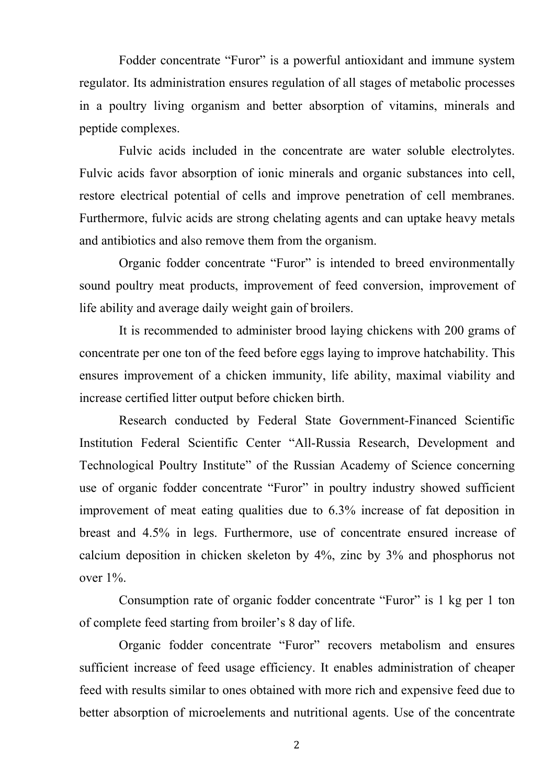Fodder concentrate "Furor" is a powerful antioxidant and immune system regulator. Its administration ensures regulation of all stages of metabolic processes in a poultry living organism and better absorption of vitamins, minerals and peptide complexes.

Fulvic acids included in the concentrate are water soluble electrolytes. Fulvic acids favor absorption of ionic minerals and organic substances into cell, restore electrical potential of cells and improve penetration of cell membranes. Furthermore, fulvic acids are strong chelating agents and can uptake heavy metals and antibiotics and also remove them from the organism.

Organic fodder concentrate "Furor" is intended to breed environmentally sound poultry meat products, improvement of feed conversion, improvement of life ability and average daily weight gain of broilers.

It is recommended to administer brood laying chickens with 200 grams of concentrate per one ton of the feed before eggs laying to improve hatchability. This ensures improvement of a chicken immunity, life ability, maximal viability and increase certified litter output before chicken birth.

Research conducted by Federal State Government-Financed Scientific Institution Federal Scientific Center "All-Russia Research, Development and Technological Poultry Institute" of the Russian Academy of Science concerning use of organic fodder concentrate "Furor" in poultry industry showed sufficient improvement of meat eating qualities due to 6.3% increase of fat deposition in breast and 4.5% in legs. Furthermore, use of concentrate ensured increase of calcium deposition in chicken skeleton by 4%, zinc by 3% and phosphorus not over 1%.

Consumption rate of organic fodder concentrate "Furor" is 1 kg per 1 ton of complete feed starting from broiler's 8 day of life.

Organic fodder concentrate "Furor" recovers metabolism and ensures sufficient increase of feed usage efficiency. It enables administration of cheaper feed with results similar to ones obtained with more rich and expensive feed due to better absorption of microelements and nutritional agents. Use of the concentrate